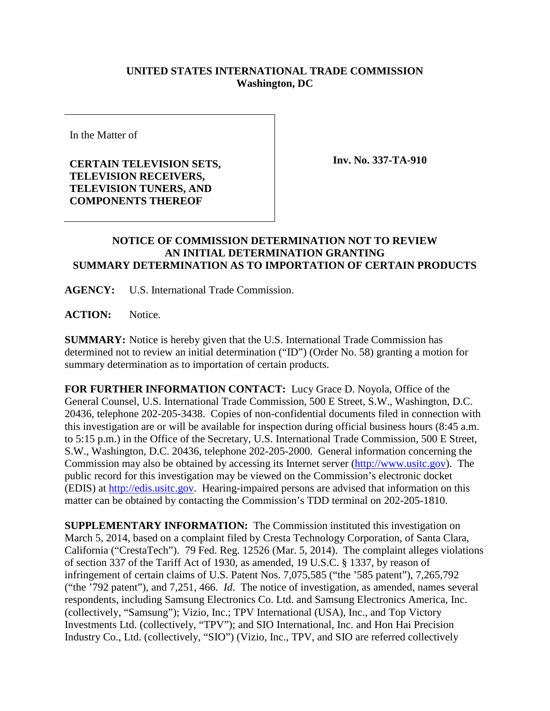## **UNITED STATES INTERNATIONAL TRADE COMMISSION Washington, DC**

In the Matter of

**CERTAIN TELEVISION SETS, TELEVISION RECEIVERS, TELEVISION TUNERS, AND COMPONENTS THEREOF** 

**Inv. No. 337-TA-910**

## **NOTICE OF COMMISSION DETERMINATION NOT TO REVIEW AN INITIAL DETERMINATION GRANTING SUMMARY DETERMINATION AS TO IMPORTATION OF CERTAIN PRODUCTS**

**AGENCY:** U.S. International Trade Commission.

**ACTION:** Notice.

**SUMMARY:** Notice is hereby given that the U.S. International Trade Commission has determined not to review an initial determination ("ID") (Order No. 58) granting a motion for summary determination as to importation of certain products.

**FOR FURTHER INFORMATION CONTACT:** Lucy Grace D. Noyola, Office of the General Counsel, U.S. International Trade Commission, 500 E Street, S.W., Washington, D.C. 20436, telephone 202-205-3438. Copies of non-confidential documents filed in connection with this investigation are or will be available for inspection during official business hours (8:45 a.m. to 5:15 p.m.) in the Office of the Secretary, U.S. International Trade Commission, 500 E Street, S.W., Washington, D.C. 20436, telephone 202-205-2000. General information concerning the Commission may also be obtained by accessing its Internet server [\(http://www.usitc.gov\)](http://www.usitc.gov/). The public record for this investigation may be viewed on the Commission's electronic docket (EDIS) at [http://edis.usitc.gov.](http://edis.usitc.gov/) Hearing-impaired persons are advised that information on this matter can be obtained by contacting the Commission's TDD terminal on 202-205-1810.

**SUPPLEMENTARY INFORMATION:** The Commission instituted this investigation on March 5, 2014, based on a complaint filed by Cresta Technology Corporation, of Santa Clara, California ("CrestaTech"). 79 Fed. Reg. 12526 (Mar. 5, 2014). The complaint alleges violations of section 337 of the Tariff Act of 1930, as amended, 19 U.S.C. § 1337, by reason of infringement of certain claims of U.S. Patent Nos. 7,075,585 ("the '585 patent"), 7,265,792 ("the '792 patent"), and 7,251, 466. *Id*. The notice of investigation, as amended, names several respondents, including Samsung Electronics Co. Ltd. and Samsung Electronics America, Inc. (collectively, "Samsung"); Vizio, Inc.; TPV International (USA), Inc., and Top Victory Investments Ltd. (collectively, "TPV"); and SIO International, Inc. and Hon Hai Precision Industry Co., Ltd. (collectively, "SIO") (Vizio, Inc., TPV, and SIO are referred collectively